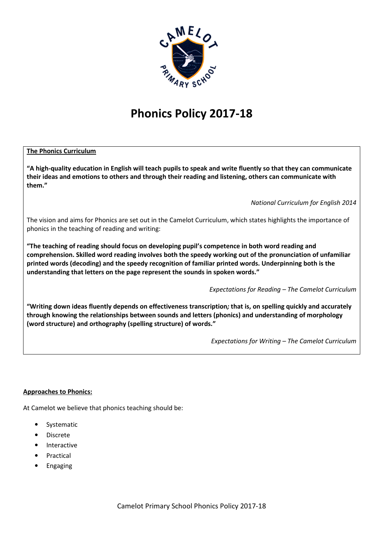

# **Phonics Policy 2017-18**

# **The Phonics Curriculum**

**"A high-quality education in English will teach pupils to speak and write fluently so that they can communicate their ideas and emotions to others and through their reading and listening, others can communicate with them."** 

*National Curriculum for English 2014*

The vision and aims for Phonics are set out in the Camelot Curriculum, which states highlights the importance of phonics in the teaching of reading and writing:

**"The teaching of reading should focus on developing pupil's competence in both word reading and comprehension. Skilled word reading involves both the speedy working out of the pronunciation of unfamiliar printed words (decoding) and the speedy recognition of familiar printed words. Underpinning both is the understanding that letters on the page represent the sounds in spoken words."** 

*Expectations for Reading – The Camelot Curriculum*

**"Writing down ideas fluently depends on effectiveness transcription***;* **that is, on spelling quickly and accurately through knowing the relationships between sounds and letters (phonics) and understanding of morphology (word structure) and orthography (spelling structure) of words."** 

*Expectations for Writing – The Camelot Curriculum*

## **Approaches to Phonics:**

At Camelot we believe that phonics teaching should be:

- Systematic
- Discrete
- **Interactive**
- **Practical**
- **Engaging**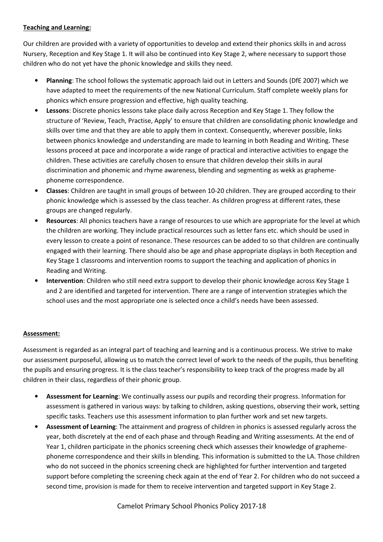## **Teaching and Learning:**

Our children are provided with a variety of opportunities to develop and extend their phonics skills in and across Nursery, Reception and Key Stage 1. It will also be continued into Key Stage 2, where necessary to support those children who do not yet have the phonic knowledge and skills they need.

- **Planning**: The school follows the systematic approach laid out in Letters and Sounds (DfE 2007) which we have adapted to meet the requirements of the new National Curriculum. Staff complete weekly plans for phonics which ensure progression and effective, high quality teaching.
- **Lessons**: Discrete phonics lessons take place daily across Reception and Key Stage 1. They follow the structure of 'Review, Teach, Practise, Apply' to ensure that children are consolidating phonic knowledge and skills over time and that they are able to apply them in context. Consequently, wherever possible, links between phonics knowledge and understanding are made to learning in both Reading and Writing. These lessons proceed at pace and incorporate a wide range of practical and interactive activities to engage the children. These activities are carefully chosen to ensure that children develop their skills in aural discrimination and phonemic and rhyme awareness, blending and segmenting as wekk as graphemephoneme correspondence.
- **Classes**: Children are taught in small groups of between 10-20 children. They are grouped according to their phonic knowledge which is assessed by the class teacher. As children progress at different rates, these groups are changed regularly.
- **Resources**: All phonics teachers have a range of resources to use which are appropriate for the level at which the children are working. They include practical resources such as letter fans etc. which should be used in every lesson to create a point of resonance. These resources can be added to so that children are continually engaged with their learning. There should also be age and phase appropriate displays in both Reception and Key Stage 1 classrooms and intervention rooms to support the teaching and application of phonics in Reading and Writing.
- **Intervention**: Children who still need extra support to develop their phonic knowledge across Key Stage 1 and 2 are identified and targeted for intervention. There are a range of intervention strategies which the school uses and the most appropriate one is selected once a child's needs have been assessed.

# **Assessment:**

Assessment is regarded as an integral part of teaching and learning and is a continuous process. We strive to make our assessment purposeful, allowing us to match the correct level of work to the needs of the pupils, thus benefiting the pupils and ensuring progress. It is the class teacher's responsibility to keep track of the progress made by all children in their class, regardless of their phonic group.

- **Assessment for Learning**: We continually assess our pupils and recording their progress. Information for assessment is gathered in various ways: by talking to children, asking questions, observing their work, setting specific tasks. Teachers use this assessment information to plan further work and set new targets.
- **Assessment of Learning**: The attainment and progress of children in phonics is assessed regularly across the year, both discretely at the end of each phase and through Reading and Writing assessments. At the end of Year 1, children participate in the phonics screening check which assesses their knowledge of graphemephoneme correspondence and their skills in blending. This information is submitted to the LA. Those children who do not succeed in the phonics screening check are highlighted for further intervention and targeted support before completing the screening check again at the end of Year 2. For children who do not succeed a second time, provision is made for them to receive intervention and targeted support in Key Stage 2.